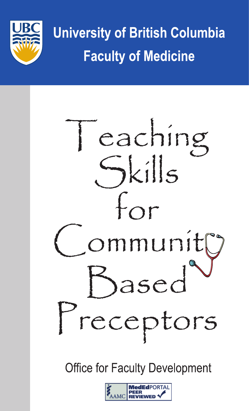

**University of British Columbia Faculty of Medicine** 



**Office for Faculty Development** 

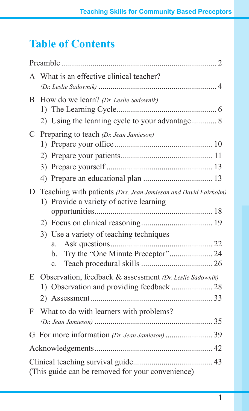# **Table of Contents**

| A | What is an effective clinical teacher?                                                                                                                                             |
|---|------------------------------------------------------------------------------------------------------------------------------------------------------------------------------------|
| B | How do we learn? (Dr. Leslie Sadownik)<br>2) Using the learning cycle to your advantage  8                                                                                         |
| C | Preparing to teach (Dr. Jean Jamieson)                                                                                                                                             |
| D | Teaching with patients (Drs. Jean Jamieson and David Fairholm)<br>1) Provide a variety of active learning<br>3) Use a variety of teaching techniques<br>a.<br>b.<br>$\mathbf{c}$ . |
| E | Observation, feedback & assessment (Dr. Leslie Sadownik)                                                                                                                           |
| F | What to do with learners with problems?                                                                                                                                            |
|   |                                                                                                                                                                                    |
|   |                                                                                                                                                                                    |
|   | (This guide can be removed for your convenience)                                                                                                                                   |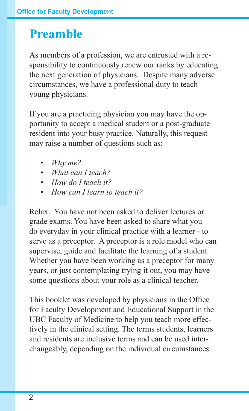# **Preamble**

As members of a profession, we are entrusted with a responsibility to continuously renew our ranks by educating the next generation of physicians. Despite many adverse circumstances, we have a professional duty to teach young physicians.

If you are a practicing physician you may have the opportunity to accept a medical student or a post-graduate resident into your busy practice. Naturally, this request may raise a number of questions such as:

- *• Why me?*
- *• What can I teach?*
- *• How do I teach it?*
- *• How can I learn to teach it?*

Relax. You have not been asked to deliver lectures or grade exams. You have been asked to share what you do everyday in your clinical practice with a learner - to serve as a preceptor. A preceptor is a role model who can supervise, guide and facilitate the learning of a student. Whether you have been working as a preceptor for many years, or just contemplating trying it out, you may have some questions about your role as a clinical teacher.

This booklet was developed by physicians in the Office for Faculty Development and Educational Support in the UBC Faculty of Medicine to help you teach more effectively in the clinical setting. The terms students, learners and residents are inclusive terms and can be used interchangeably, depending on the individual circumstances.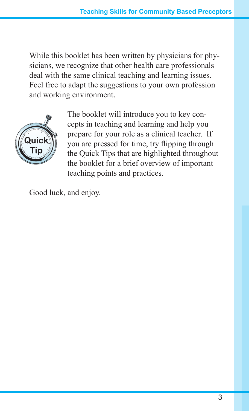While this booklet has been written by physicians for physicians, we recognize that other health care professionals deal with the same clinical teaching and learning issues. Feel free to adapt the suggestions to your own profession and working environment.



The booklet will introduce you to key concepts in teaching and learning and help you prepare for your role as a clinical teacher. If you are pressed for time, try flipping through the Quick Tips that are highlighted throughout the booklet for a brief overview of important teaching points and practices.

Good luck, and enjoy.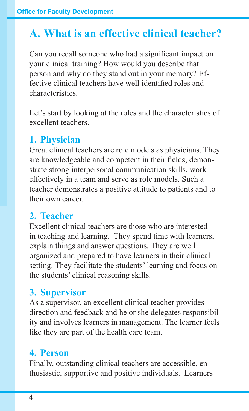# **A. What is an effective clinical teacher?**

Can you recall someone who had a significant impact on your clinical training? How would you describe that person and why do they stand out in your memory? Effective clinical teachers have well identified roles and characteristics.

Let's start by looking at the roles and the characteristics of excellent teachers.

# **1. Physician**

Great clinical teachers are role models as physicians. They are knowledgeable and competent in their fields, demonstrate strong interpersonal communication skills, work effectively in a team and serve as role models. Such a teacher demonstrates a positive attitude to patients and to their own career.

# **2. Teacher**

Excellent clinical teachers are those who are interested in teaching and learning. They spend time with learners, explain things and answer questions. They are well organized and prepared to have learners in their clinical setting. They facilitate the students' learning and focus on the students' clinical reasoning skills.

# **3. Supervisor**

As a supervisor, an excellent clinical teacher provides direction and feedback and he or she delegates responsibility and involves learners in management. The learner feels like they are part of the health care team.

# **4. Person**

Finally, outstanding clinical teachers are accessible, enthusiastic, supportive and positive individuals. Learners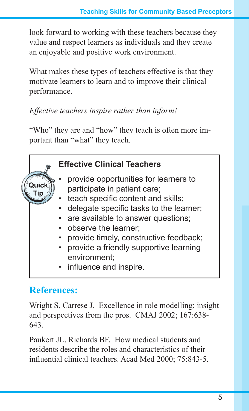look forward to working with these teachers because they value and respect learners as individuals and they create an enjoyable and positive work environment.

What makes these types of teachers effective is that they motivate learners to learn and to improve their clinical performance.

#### *Effective teachers inspire rather than inform!*

"Who" they are and "how" they teach is often more important than "what" they teach.



# **References:**

Wright S, Carrese J. Excellence in role modelling: insight and perspectives from the pros. CMAJ 2002; 167:638- 643.

Paukert JL, Richards BF. How medical students and residents describe the roles and characteristics of their influential clinical teachers. Acad Med 2000; 75:843-5.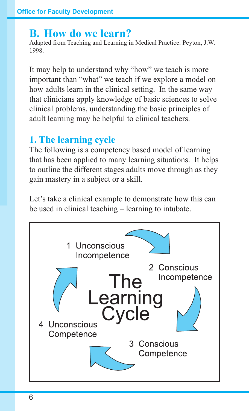### **B. How do we learn?**

Adapted from Teaching and Learning in Medical Practice. Peyton, J.W. 1998.

It may help to understand why "how" we teach is more important than "what" we teach if we explore a model on how adults learn in the clinical setting. In the same way that clinicians apply knowledge of basic sciences to solve clinical problems, understanding the basic principles of adult learning may be helpful to clinical teachers.

# **1. The learning cycle**

The following is a competency based model of learning that has been applied to many learning situations. It helps to outline the different stages adults move through as they gain mastery in a subject or a skill.

Let's take a clinical example to demonstrate how this can be used in clinical teaching – learning to intubate.

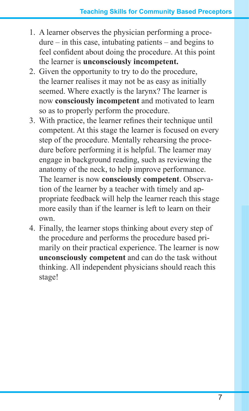- 1. A learner observes the physician performing a proce $d$ ure – in this case, intubating patients – and begins to feel confident about doing the procedure. At this point the learner is **unconsciously incompetent.**
- 2. Given the opportunity to try to do the procedure, the learner realises it may not be as easy as initially seemed. Where exactly is the larynx? The learner is now **consciously incompetent** and motivated to learn so as to properly perform the procedure.
- 3. With practice, the learner refines their technique until competent. At this stage the learner is focused on every step of the procedure. Mentally rehearsing the procedure before performing it is helpful. The learner may engage in background reading, such as reviewing the anatomy of the neck, to help improve performance. The learner is now **consciously competent**. Observation of the learner by a teacher with timely and appropriate feedback will help the learner reach this stage more easily than if the learner is left to learn on their own.
- 4. Finally, the learner stops thinking about every step of the procedure and performs the procedure based primarily on their practical experience. The learner is now **unconsciously competent** and can do the task without thinking. All independent physicians should reach this stage!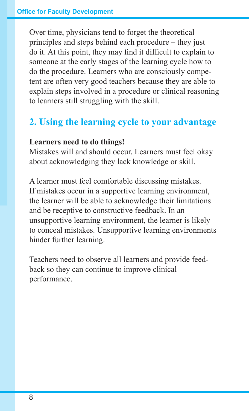Over time, physicians tend to forget the theoretical principles and steps behind each procedure – they just do it. At this point, they may find it difficult to explain to someone at the early stages of the learning cycle how to do the procedure. Learners who are consciously competent are often very good teachers because they are able to explain steps involved in a procedure or clinical reasoning to learners still struggling with the skill.

# **2. Using the learning cycle to your advantage**

#### **Learners need to do things!**

Mistakes will and should occur. Learners must feel okay about acknowledging they lack knowledge or skill.

A learner must feel comfortable discussing mistakes. If mistakes occur in a supportive learning environment, the learner will be able to acknowledge their limitations and be receptive to constructive feedback. In an unsupportive learning environment, the learner is likely to conceal mistakes. Unsupportive learning environments hinder further learning.

Teachers need to observe all learners and provide feedback so they can continue to improve clinical performance.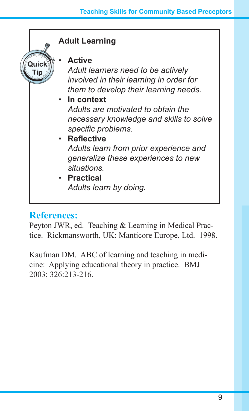

#### **References:**

Peyton JWR, ed. Teaching & Learning in Medical Practice. Rickmansworth, UK: Manticore Europe, Ltd. 1998.

Kaufman DM. ABC of learning and teaching in medicine: Applying educational theory in practice. BMJ 2003; 326:213-216.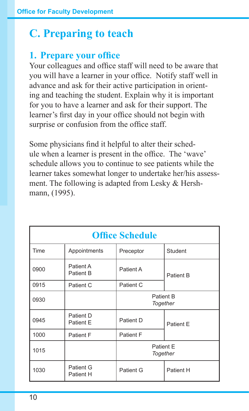# **C. Preparing to teach**

# **1. Prepare your office**

Your colleagues and office staff will need to be aware that you will have a learner in your office. Notify staff well in advance and ask for their active participation in orienting and teaching the student. Explain why it is important for you to have a learner and ask for their support. The learner's first day in your office should not begin with surprise or confusion from the office staff.

Some physicians find it helpful to alter their schedule when a learner is present in the office. The 'wave' schedule allows you to continue to see patients while the learner takes somewhat longer to undertake her/his assessment. The following is adapted from Lesky & Hershmann, (1995).

| <b>Office Schedule</b>        |                                                  |                       |           |  |  |  |
|-------------------------------|--------------------------------------------------|-----------------------|-----------|--|--|--|
| Time                          | Appointments                                     | Preceptor             | Student   |  |  |  |
| 0900                          | Patient A<br>Patient A<br>Patient B<br>Patient B |                       |           |  |  |  |
| 0915                          | Patient C                                        | Patient C             |           |  |  |  |
| 0930                          |                                                  | Patient B<br>Together |           |  |  |  |
| 0945                          | Patient D<br>Patient E                           | Patient D             | Patient E |  |  |  |
| 1000                          | Patient F                                        | Patient F             |           |  |  |  |
| Patient E<br>1015<br>Together |                                                  |                       |           |  |  |  |
| 1030                          | Patient G<br>Patient H                           | Patient G             | Patient H |  |  |  |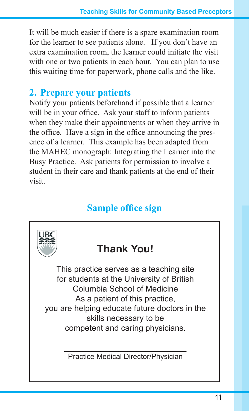It will be much easier if there is a spare examination room for the learner to see patients alone. If you don't have an extra examination room, the learner could initiate the visit with one or two patients in each hour. You can plan to use this waiting time for paperwork, phone calls and the like.

### **2. Prepare your patients**

Notify your patients beforehand if possible that a learner will be in your office. Ask your staff to inform patients when they make their appointments or when they arrive in the office. Have a sign in the office announcing the presence of a learner. This example has been adapted from the MAHEC monograph: Integrating the Learner into the Busy Practice. Ask patients for permission to involve a student in their care and thank patients at the end of their visit.

# **Sample office sign**

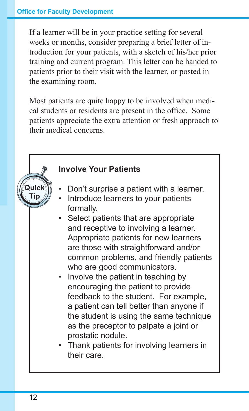If a learner will be in your practice setting for several weeks or months, consider preparing a brief letter of introduction for your patients, with a sketch of his/her prior training and current program. This letter can be handed to patients prior to their visit with the learner, or posted in the examining room.

Most patients are quite happy to be involved when medical students or residents are present in the office. Some patients appreciate the extra attention or fresh approach to their medical concerns.

### **Involve Your Patients**

- Don't surprise a patient with a learner.
- Introduce learners to your patients formally.
- Select patients that are appropriate and receptive to involving a learner. Appropriate patients for new learners are those with straightforward and/or common problems, and friendly patients who are good communicators.
- Involve the patient in teaching by encouraging the patient to provide feedback to the student. For example, a patient can tell better than anyone if the student is using the same technique as the preceptor to palpate a joint or prostatic nodule.
- Thank patients for involving learners in their care.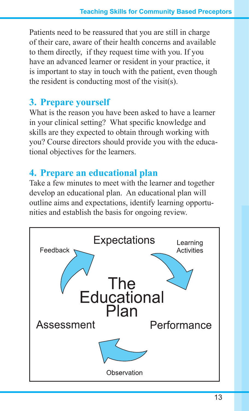Patients need to be reassured that you are still in charge of their care, aware of their health concerns and available to them directly, if they request time with you. If you have an advanced learner or resident in your practice, it is important to stay in touch with the patient, even though the resident is conducting most of the visit(s).

### **3. Prepare yourself**

What is the reason you have been asked to have a learner in your clinical setting? What specific knowledge and skills are they expected to obtain through working with you? Course directors should provide you with the educational objectives for the learners.

# **4. Prepare an educational plan**

Take a few minutes to meet with the learner and together develop an educational plan. An educational plan will outline aims and expectations, identify learning opportunities and establish the basis for ongoing review.

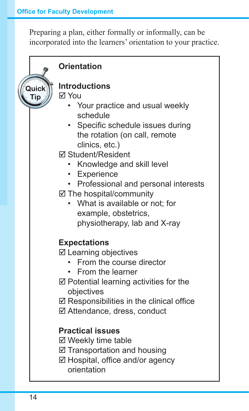Preparing a plan, either formally or informally, can be incorporated into the learners' orientation to your practice.

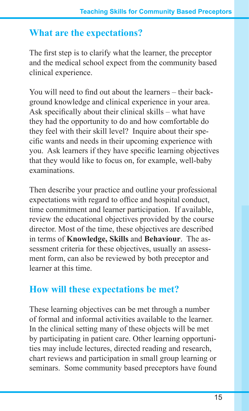# **What are the expectations?**

The first step is to clarify what the learner, the preceptor and the medical school expect from the community based clinical experience.

You will need to find out about the learners – their background knowledge and clinical experience in your area. Ask specifically about their clinical skills – what have they had the opportunity to do and how comfortable do they feel with their skill level? Inquire about their specific wants and needs in their upcoming experience with you. Ask learners if they have specific learning objectives that they would like to focus on, for example, well-baby examinations.

Then describe your practice and outline your professional expectations with regard to office and hospital conduct, time commitment and learner participation. If available, review the educational objectives provided by the course director. Most of the time, these objectives are described in terms of **Knowledge, Skills** and **Behaviour**. The assessment criteria for these objectives, usually an assessment form, can also be reviewed by both preceptor and learner at this time.

# **How will these expectations be met?**

These learning objectives can be met through a number of formal and informal activities available to the learner. In the clinical setting many of these objects will be met by participating in patient care. Other learning opportunities may include lectures, directed reading and research, chart reviews and participation in small group learning or seminars. Some community based preceptors have found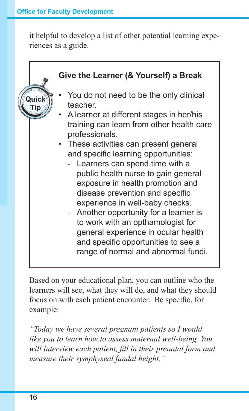it helpful to develop a list of other potential learning experiences as a guide.

**Give the Learner (& Yourself) a Break** You do not need to be the only clinical teacher. A learner at different stages in her/his training can learn from other health care professionals. • These activities can present general and specific learning opportunities: - Learners can spend time with a public health nurse to gain general exposure in health promotion and disease prevention and specific experience in well-baby checks. - Another opportunity for a learner is to work with an opthamologist for general experience in ocular health and specific opportunities to see a range of normal and abnormal fundi.

Based on your educational plan, you can outline who the learners will see, what they will do, and what they should focus on with each patient encounter. Be specific, for example:

*"Today we have several pregnant patients so I would like you to learn how to assess maternal well-being. You will interview each patient, fill in their prenatal form and measure their symphyseal fundal height."*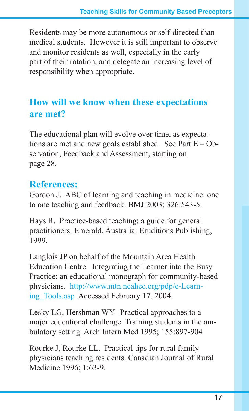Residents may be more autonomous or self-directed than medical students. However it is still important to observe and monitor residents as well, especially in the early part of their rotation, and delegate an increasing level of responsibility when appropriate.

# **How will we know when these expectations are met?**

The educational plan will evolve over time, as expectations are met and new goals established. See Part  $E - Ob$ servation, Feedback and Assessment, starting on page 28.

# **References:**

Gordon J. ABC of learning and teaching in medicine: one to one teaching and feedback. BMJ 2003; 326:543-5.

Hays R. Practice-based teaching: a guide for general practitioners. Emerald, Australia: Eruditions Publishing, 1999.

Langlois JP on behalf of the Mountain Area Health Education Centre. Integrating the Learner into the Busy Practice: an educational monograph for community-based physicians. http://www.mtn.ncahec.org/pdp/e-Learning\_Tools.asp Accessed February 17, 2004.

Lesky LG, Hershman WY. Practical approaches to a major educational challenge. Training students in the ambulatory setting. Arch Intern Med 1995; 155:897-904

Rourke J, Rourke LL. Practical tips for rural family physicians teaching residents. Canadian Journal of Rural Medicine 1996; 1:63-9.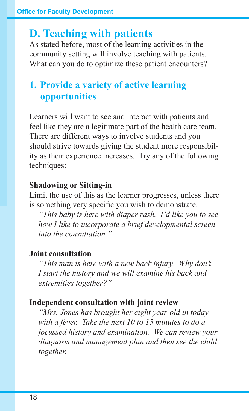# **D. Teaching with patients**

As stated before, most of the learning activities in the community setting will involve teaching with patients. What can you do to optimize these patient encounters?

# **1. Provide a variety of active learning opportunities**

Learners will want to see and interact with patients and feel like they are a legitimate part of the health care team. There are different ways to involve students and you should strive towards giving the student more responsibility as their experience increases. Try any of the following techniques:

#### **Shadowing or Sitting-in**

Limit the use of this as the learner progresses, unless there is something very specific you wish to demonstrate.

*"This baby is here with diaper rash. I'd like you to see how I like to incorporate a brief developmental screen into the consultation."*

#### **Joint consultation**

*"This man is here with a new back injury. Why don't I start the history and we will examine his back and extremities together?"*

#### **Independent consultation with joint review**

*"Mrs. Jones has brought her eight year-old in today with a fever. Take the next 10 to 15 minutes to do a focussed history and examination. We can review your diagnosis and management plan and then see the child together."*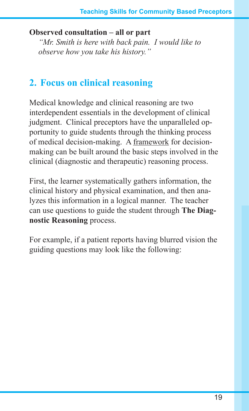#### **Observed consultation – all or part**

*"Mr. Smith is here with back pain. I would like to observe how you take his history."* 

# **2. Focus on clinical reasoning**

Medical knowledge and clinical reasoning are two interdependent essentials in the development of clinical judgment. Clinical preceptors have the unparalleled opportunity to guide students through the thinking process of medical decision-making. A framework for decisionmaking can be built around the basic steps involved in the clinical (diagnostic and therapeutic) reasoning process.

First, the learner systematically gathers information, the clinical history and physical examination, and then analyzes this information in a logical manner. The teacher can use questions to guide the student through **The Diagnostic Reasoning** process.

For example, if a patient reports having blurred vision the guiding questions may look like the following: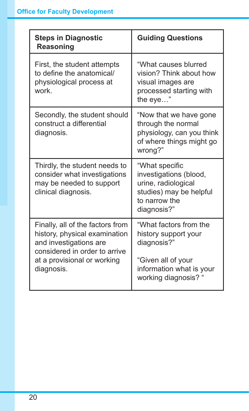| <b>Steps in Diagnostic</b><br><b>Reasoning</b>                                                                                                                            | <b>Guiding Questions</b>                                                                                                              |
|---------------------------------------------------------------------------------------------------------------------------------------------------------------------------|---------------------------------------------------------------------------------------------------------------------------------------|
| First, the student attempts<br>to define the anatomical/<br>physiological process at<br>work.                                                                             | "What causes blurred<br>vision? Think about how<br>visual images are<br>processed starting with<br>the eye"                           |
| Secondly, the student should<br>construct a differential<br>diagnosis.                                                                                                    | "Now that we have gone<br>through the normal<br>physiology, can you think<br>of where things might go<br>wrong?"                      |
| Thirdly, the student needs to<br>consider what investigations<br>may be needed to support<br>clinical diagnosis.                                                          | "What specific<br>investigations (blood,<br>urine, radiological<br>studies) may be helpful<br>to narrow the<br>diagnosis?"            |
| Finally, all of the factors from<br>history, physical examination<br>and investigations are<br>considered in order to arrive<br>at a provisional or working<br>diagnosis. | "What factors from the<br>history support your<br>diagnosis?"<br>"Given all of your<br>information what is your<br>working diagnosis? |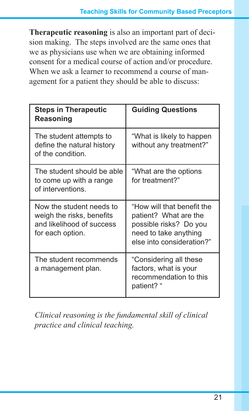**Therapeutic reasoning** is also an important part of decision making. The steps involved are the same ones that we as physicians use when we are obtaining informed consent for a medical course of action and/or procedure. When we ask a learner to recommend a course of management for a patient they should be able to discuss:

| <b>Steps in Therapeutic</b><br>Reasoning                                                               | <b>Guiding Questions</b>                                                                                                            |
|--------------------------------------------------------------------------------------------------------|-------------------------------------------------------------------------------------------------------------------------------------|
| The student attempts to<br>define the natural history<br>of the condition.                             | "What is likely to happen<br>without any treatment?"                                                                                |
| The student should be able<br>to come up with a range<br>of interventions.                             | "What are the options"<br>for treatment?"                                                                                           |
| Now the student needs to<br>weigh the risks, benefits<br>and likelihood of success<br>for each option. | "How will that benefit the<br>patient? What are the<br>possible risks? Do you<br>need to take anything<br>else into consideration?" |
| The student recommends<br>a management plan.                                                           | "Considering all these<br>factors, what is your<br>recommendation to this<br>patient? "                                             |

*Clinical reasoning is the fundamental skill of clinical practice and clinical teaching.*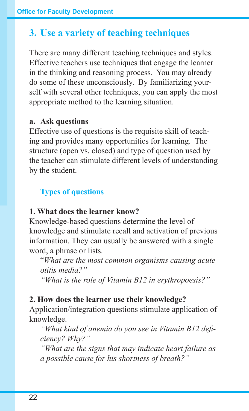# **3. Use a variety of teaching techniques**

There are many different teaching techniques and styles. Effective teachers use techniques that engage the learner in the thinking and reasoning process. You may already do some of these unconsciously. By familiarizing yourself with several other techniques, you can apply the most appropriate method to the learning situation.

#### **a. Ask questions**

Effective use of questions is the requisite skill of teaching and provides many opportunities for learning. The structure (open vs. closed) and type of question used by the teacher can stimulate different levels of understanding by the student.

#### **Types of questions**

#### **1. What does the learner know?**

Knowledge-based questions determine the level of knowledge and stimulate recall and activation of previous information. They can usually be answered with a single word, a phrase or lists.

"*What are the most common organisms causing acute otitis media?"*

*"What is the role of Vitamin B12 in erythropoesis?"*

### **2. How does the learner use their knowledge?**

Application/integration questions stimulate application of knowledge.

 *"What kind of anemia do you see in Vitamin B12 deficiency? Why?"*

 *"What are the signs that may indicate heart failure as a possible cause for his shortness of breath?"*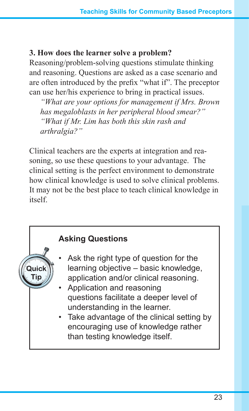#### **3. How does the learner solve a problem?**

Reasoning/problem-solving questions stimulate thinking and reasoning. Questions are asked as a case scenario and are often introduced by the prefix "what if". The preceptor can use her/his experience to bring in practical issues.

 *"What are your options for management if Mrs. Brown has megaloblasts in her peripheral blood smear?" "What if Mr. Lim has both this skin rash and arthralgia?"*

Clinical teachers are the experts at integration and reasoning, so use these questions to your advantage. The clinical setting is the perfect environment to demonstrate how clinical knowledge is used to solve clinical problems. It may not be the best place to teach clinical knowledge in itself.

### **Asking Questions**

- Ask the right type of question for the learning objective – basic knowledge, application and/or clinical reasoning.
- Application and reasoning questions facilitate a deeper level of understanding in the learner.
- Take advantage of the clinical setting by encouraging use of knowledge rather than testing knowledge itself.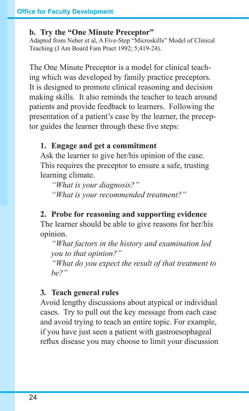#### **b. Try the "One Minute Preceptor"**

Adapted from Neher et al, A Five-Step "Microskills" Model of Clinical Teaching (J Am Board Fam Pract 1992; 5;419-24).

The One Minute Preceptor is a model for clinical teaching which was developed by family practice preceptors. It is designed to promote clinical reasoning and decision making skills. It also reminds the teacher to teach around patients and provide feedback to learners. Following the presentation of a patient's case by the learner, the preceptor guides the learner through these five steps:

#### **1. Engage and get a commitment**

Ask the learner to give her/his opinion of the case. This requires the preceptor to ensure a safe, trusting learning climate.

 *"What is your diagnosis?" "What is your recommended treatment?"*

#### **2. Probe for reasoning and supporting evidence**

The learner should be able to give reasons for her/his opinion.

 *"What factors in the history and examination led you to that opinion?"*

 *"What do you expect the result of that treatment to be?"*

#### **3***.* **Teach general rules**

Avoid lengthy discussions about atypical or individual cases. Try to pull out the key message from each case and avoid trying to teach an entire topic. For example, if you have just seen a patient with gastroesophageal reflux disease you may choose to limit your discussion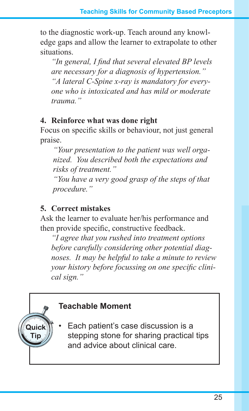to the diagnostic work-up. Teach around any knowledge gaps and allow the learner to extrapolate to other situations.

 *"In general, I find that several elevated BP levels are necessary for a diagnosis of hypertension." "A lateral C-Spine x-ray is mandatory for everyone who is intoxicated and has mild or moderate trauma."*

#### **4. Reinforce what was done right**

Focus on specific skills or behaviour, not just general praise.

 *"Your presentation to the patient was well organized. You described both the expectations and risks of treatment."*

 *"You have a very good grasp of the steps of that procedure."*

#### **5. Correct mistakes**

Ask the learner to evaluate her/his performance and then provide specific, constructive feedback.

 *"I agree that you rushed into treatment options before carefully considering other potential diagnoses. It may be helpful to take a minute to review your history before focussing on one specific clinical sign."*

# **Teachable Moment**

Each patient's case discussion is a stepping stone for sharing practical tips and advice about clinical care.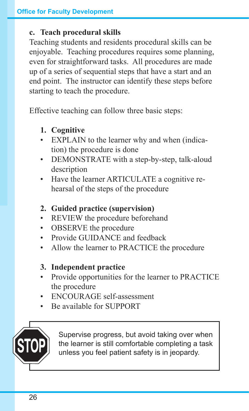#### **c. Teach procedural skills**

Teaching students and residents procedural skills can be enjoyable. Teaching procedures requires some planning, even for straightforward tasks. All procedures are made up of a series of sequential steps that have a start and an end point. The instructor can identify these steps before starting to teach the procedure.

Effective teaching can follow three basic steps:

- **1. Cognitive**
- EXPLAIN to the learner why and when (indication) the procedure is done
- DEMONSTRATE with a step-by-step, talk-aloud description
- • Have the learner ARTICULATE a cognitive rehearsal of the steps of the procedure

#### **2. Guided practice (supervision)**

- • REVIEW the procedure beforehand
- OBSERVE the procedure
- Provide GUIDANCE and feedback
- Allow the learner to PRACTICE the procedure

#### **3. Independent practice**

- • Provide opportunities for the learner to PRACTICE the procedure
- ENCOUR AGE self-assessment
- • Be available for SUPPORT



Supervise progress, but avoid taking over when the learner is still comfortable completing a task unless you feel patient safety is in jeopardy.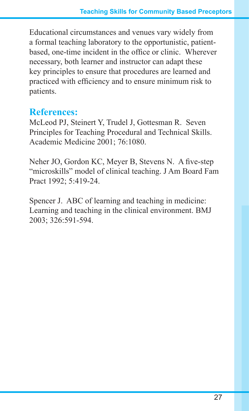Educational circumstances and venues vary widely from a formal teaching laboratory to the opportunistic, patientbased, one-time incident in the office or clinic. Wherever necessary, both learner and instructor can adapt these key principles to ensure that procedures are learned and practiced with efficiency and to ensure minimum risk to patients.

### **References:**

McLeod PJ, Steinert Y, Trudel J, Gottesman R. Seven Principles for Teaching Procedural and Technical Skills. Academic Medicine 2001; 76:1080.

Neher JO, Gordon KC, Meyer B, Stevens N. A five-step "microskills" model of clinical teaching. J Am Board Fam Pract 1992; 5:419-24.

Spencer J. ABC of learning and teaching in medicine: Learning and teaching in the clinical environment. BMJ 2003; 326:591-594.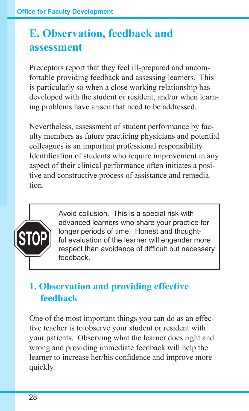# **E. Observation, feedback and assessment**

Preceptors report that they feel ill-prepared and uncomfortable providing feedback and assessing learners. This is particularly so when a close working relationship has developed with the student or resident, and/or when learning problems have arisen that need to be addressed.

Nevertheless, assessment of student performance by faculty members as future practicing physicians and potential colleagues is an important professional responsibility. Identification of students who require improvement in any aspect of their clinical performance often initiates a positive and constructive process of assistance and remediation.



Avoid collusion. This is a special risk with advanced learners who share your practice for longer periods of time. Honest and thoughtful evaluation of the learner will engender more respect than avoidance of difficult but necessary feedback.

# **1. Observation and providing effective feedback**

One of the most important things you can do as an effective teacher is to observe your student or resident with your patients. Observing what the learner does right and wrong and providing immediate feedback will help the learner to increase her/his confidence and improve more quickly.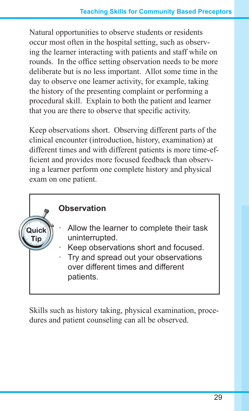Natural opportunities to observe students or residents occur most often in the hospital setting, such as observing the learner interacting with patients and staff while on rounds. In the office setting observation needs to be more deliberate but is no less important. Allot some time in the day to observe one learner activity, for example, taking the history of the presenting complaint or performing a procedural skill. Explain to both the patient and learner that you are there to observe that specific activity.

Keep observations short. Observing different parts of the clinical encounter (introduction, history, examination) at different times and with different patients is more time-efficient and provides more focused feedback than observing a learner perform one complete history and physical exam on one patient.

#### **Observation**

- Allow the learner to complete their task uninterrupted.
- Keep observations short and focused.
- Try and spread out your observations over different times and different patients.

Skills such as history taking, physical examination, procedures and patient counseling can all be observed.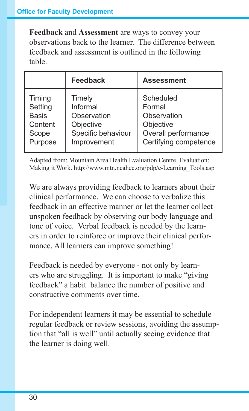**Feedback** and **Assessment** are ways to convey your observations back to the learner. The difference between feedback and assessment is outlined in the following table.

|              | Feedback           | <b>Assessment</b>     |
|--------------|--------------------|-----------------------|
| Timing       | Timely             | Scheduled             |
| Setting      | Informal           | Formal                |
| <b>Basis</b> | Observation        | Observation           |
| Content      | Objective          | Objective             |
| Scope        | Specific behaviour | Overall performance   |
| Purpose      | Improvement        | Certifying competence |

Adapted from: Mountain Area Health Evaluation Centre. Evaluation: Making it Work. http://www.mtn.ncahec.org/pdp/e-Learning\_Tools.asp

We are always providing feedback to learners about their clinical performance. We can choose to verbalize this feedback in an effective manner or let the learner collect unspoken feedback by observing our body language and tone of voice. Verbal feedback is needed by the learners in order to reinforce or improve their clinical performance. All learners can improve something!

Feedback is needed by everyone - not only by learners who are struggling. It is important to make "giving feedback" a habit balance the number of positive and constructive comments over time.

For independent learners it may be essential to schedule regular feedback or review sessions, avoiding the assumption that "all is well" until actually seeing evidence that the learner is doing well.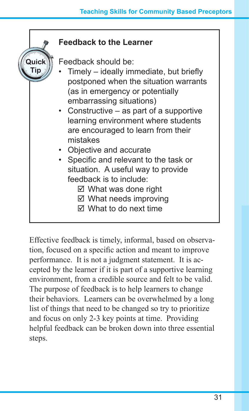

Effective feedback is timely, informal, based on observation, focused on a specific action and meant to improve performance. It is not a judgment statement. It is accepted by the learner if it is part of a supportive learning environment, from a credible source and felt to be valid. The purpose of feedback is to help learners to change their behaviors. Learners can be overwhelmed by a long list of things that need to be changed so try to prioritize and focus on only 2-3 key points at time. Providing helpful feedback can be broken down into three essential steps.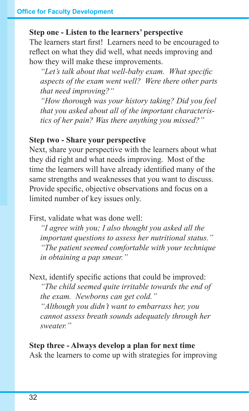#### **Step one - Listen to the learners' perspective**

The learners start first! Learners need to be encouraged to reflect on what they did well, what needs improving and how they will make these improvements.

 *"Let's talk about that well-baby exam. What specific aspects of the exam went well? Were there other parts that need improving?"*

 *"How thorough was your history taking? Did you feel that you asked about all of the important characteristics of her pain? Was there anything you missed?"*

#### **Step two - Share your perspective**

Next, share your perspective with the learners about what they did right and what needs improving. Most of the time the learners will have already identified many of the same strengths and weaknesses that you want to discuss. Provide specific, objective observations and focus on a limited number of key issues only.

First, validate what was done well:

 *"I agree with you; I also thought you asked all the important questions to assess her nutritional status." "The patient seemed comfortable with your technique in obtaining a pap smear."*

Next, identify specific actions that could be improved:  *"The child seemed quite irritable towards the end of the exam. Newborns can get cold." "Although you didn't want to embarrass her, you cannot assess breath sounds adequately through her sweater."*

**Step three - Always develop a plan for next time** Ask the learners to come up with strategies for improving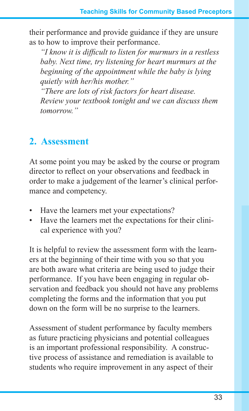their performance and provide guidance if they are unsure as to how to improve their performance.

 *"I know it is difficult to listen for murmurs in a restless baby. Next time, try listening for heart murmurs at the beginning of the appointment while the baby is lying quietly with her/his mother."*

 *"There are lots of risk factors for heart disease. Review your textbook tonight and we can discuss them tomorrow."*

# **2. Assessment**

At some point you may be asked by the course or program director to reflect on your observations and feedback in order to make a judgement of the learner's clinical performance and competency.

- Have the learners met your expectations?
- Have the learners met the expectations for their clinical experience with you?

It is helpful to review the assessment form with the learners at the beginning of their time with you so that you are both aware what criteria are being used to judge their performance. If you have been engaging in regular observation and feedback you should not have any problems completing the forms and the information that you put down on the form will be no surprise to the learners.

Assessment of student performance by faculty members as future practicing physicians and potential colleagues is an important professional responsibility. A constructive process of assistance and remediation is available to students who require improvement in any aspect of their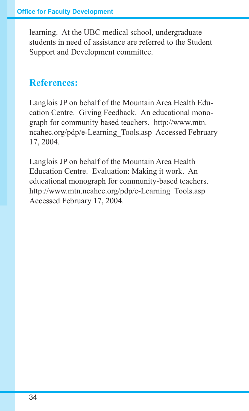learning. At the UBC medical school, undergraduate students in need of assistance are referred to the Student Support and Development committee.

## **References:**

Langlois JP on behalf of the Mountain Area Health Education Centre. Giving Feedback. An educational monograph for community based teachers. http://www.mtn. ncahec.org/pdp/e-Learning\_Tools.asp Accessed February 17, 2004.

Langlois JP on behalf of the Mountain Area Health Education Centre. Evaluation: Making it work. An educational monograph for community-based teachers. http://www.mtn.ncahec.org/pdp/e-Learning\_Tools.asp Accessed February 17, 2004.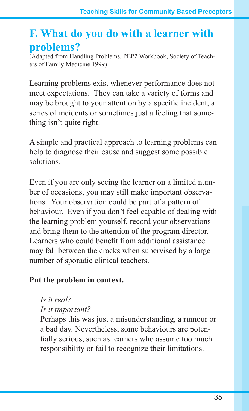# **F. What do you do with a learner with problems?**

(Adapted from Handling Problems. PEP2 Workbook, Society of Teachers of Family Medicine 1999)

Learning problems exist whenever performance does not meet expectations. They can take a variety of forms and may be brought to your attention by a specific incident, a series of incidents or sometimes just a feeling that something isn't quite right.

A simple and practical approach to learning problems can help to diagnose their cause and suggest some possible solutions.

Even if you are only seeing the learner on a limited number of occasions, you may still make important observations. Your observation could be part of a pattern of behaviour. Even if you don't feel capable of dealing with the learning problem yourself, record your observations and bring them to the attention of the program director. Learners who could benefit from additional assistance may fall between the cracks when supervised by a large number of sporadic clinical teachers.

#### **Put the problem in context.**

*Is it real?*

*Is it important?*

Perhaps this was just a misunderstanding, a rumour or a bad day. Nevertheless, some behaviours are potentially serious, such as learners who assume too much responsibility or fail to recognize their limitations.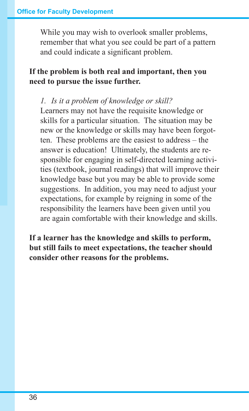While you may wish to overlook smaller problems, remember that what you see could be part of a pattern and could indicate a significant problem.

#### **If the problem is both real and important, then you need to pursue the issue further.**

#### *1. Is it a problem of knowledge or skill?*

Learners may not have the requisite knowledge or skills for a particular situation. The situation may be new or the knowledge or skills may have been forgotten. These problems are the easiest to address – the answer is education! Ultimately, the students are responsible for engaging in self-directed learning activities (textbook, journal readings) that will improve their knowledge base but you may be able to provide some suggestions. In addition, you may need to adjust your expectations, for example by reigning in some of the responsibility the learners have been given until you are again comfortable with their knowledge and skills.

**If a learner has the knowledge and skills to perform, but still fails to meet expectations, the teacher should consider other reasons for the problems.**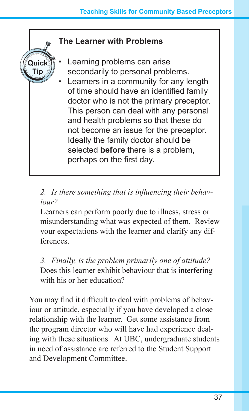#### **The Learner with Problems**

- Learning problems can arise secondarily to personal problems.
- Learners in a community for any length of time should have an identified family doctor who is not the primary preceptor. This person can deal with any personal and health problems so that these do not become an issue for the preceptor. Ideally the family doctor should be selected **before** there is a problem, perhaps on the first day.

#### *2. Is there something that is influencing their behaviour?*

Learners can perform poorly due to illness, stress or misunderstanding what was expected of them. Review your expectations with the learner and clarify any differences.

*3. Finally, is the problem primarily one of attitude?* Does this learner exhibit behaviour that is interfering with his or her education?

You may find it difficult to deal with problems of behaviour or attitude, especially if you have developed a close relationship with the learner. Get some assistance from the program director who will have had experience dealing with these situations. At UBC, undergraduate students in need of assistance are referred to the Student Support and Development Committee.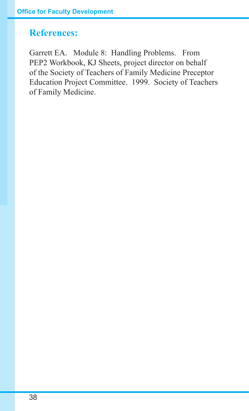### **References:**

Garrett EA. Module 8: Handling Problems. From PEP2 Workbook, KJ Sheets, project director on behalf of the Society of Teachers of Family Medicine Preceptor Education Project Committee. 1999. Society of Teachers of Family Medicine.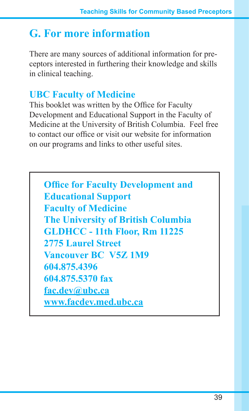# **G. For more information**

There are many sources of additional information for preceptors interested in furthering their knowledge and skills in clinical teaching.

# **UBC Faculty of Medicine**

This booklet was written by the Office for Faculty Development and Educational Support in the Faculty of Medicine at the University of British Columbia. Feel free to contact our office or visit our website for information on our programs and links to other useful sites.

**Office for Faculty Development and Educational Support Faculty of Medicine The University of British Columbia GLDHCC - 11th Floor, Rm 11225 2775 Laurel Street Vancouver BC V5Z 1M9 604.875.4396 604.875.5370 fax fac.dev@ubc.ca www.facdev.med.ubc.ca**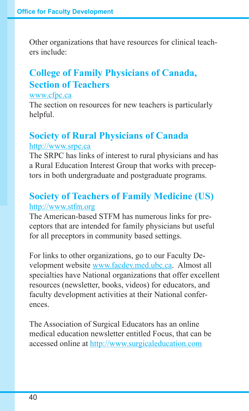Other organizations that have resources for clinical teachers include:

# **College of Family Physicians of Canada, Section of Teachers**

#### www.cfpc.ca

The section on resources for new teachers is particularly helpful.

# **Society of Rural Physicians of Canada** http://www.srpc.ca

The SRPC has links of interest to rural physicians and has a Rural Education Interest Group that works with preceptors in both undergraduate and postgraduate programs.

### **Society of Teachers of Family Medicine (US)** http://www.stfm.org

The American-based STFM has numerous links for preceptors that are intended for family physicians but useful for all preceptors in community based settings.

For links to other organizations, go to our Faculty Development website www.facdev.med.ubc.ca. Almost all specialties have National organizations that offer excellent resources (newsletter, books, videos) for educators, and faculty development activities at their National conferences.

The Association of Surgical Educators has an online medical education newsletter entitled Focus, that can be accessed online at http://www.surgicaleducation.com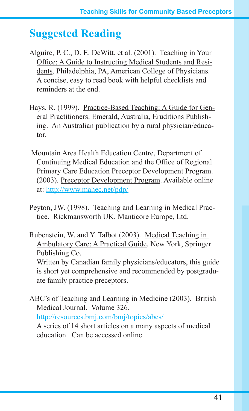# **Suggested Reading**

- Alguire, P. C., D. E. DeWitt, et al. (2001). Teaching in Your Office: A Guide to Instructing Medical Students and Residents. Philadelphia, PA, American College of Physicians. A concise, easy to read book with helpful checklists and reminders at the end.
- Hays, R. (1999). Practice-Based Teaching: A Guide for General Practitioners. Emerald, Australia, Eruditions Publishing. An Australian publication by a rural physician/educator.
- Mountain Area Health Education Centre, Department of Continuing Medical Education and the Office of Regional Primary Care Education Preceptor Development Program. (2003). Preceptor Development Program. Available online at: http://www.mahec.net/pdp/
- Peyton, JW. (1998). Teaching and Learning in Medical Practice. Rickmansworth UK, Manticore Europe, Ltd.
- Rubenstein, W. and Y. Talbot (2003). Medical Teaching in Ambulatory Care: A Practical Guide. New York, Springer Publishing Co. Written by Canadian family physicians/educators, this guide is short yet comprehensive and recommended by postgraduate family practice preceptors.

ABC's of Teaching and Learning in Medicine (2003). British Medical Journal. Volume 326. http://resources.bmj.com/bmj/topics/abcs/

A series of 14 short articles on a many aspects of medical education. Can be accessed online.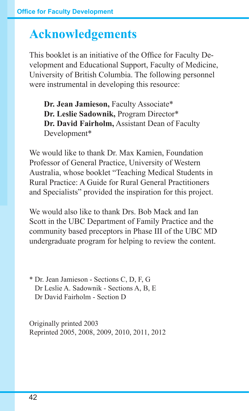# **Acknowledgements**

This booklet is an initiative of the Office for Faculty Development and Educational Support, Faculty of Medicine, University of British Columbia. The following personnel were instrumental in developing this resource:

**Dr. Jean Jamieson,** Faculty Associate\* **Dr. Leslie Sadownik,** Program Director\* **Dr. David Fairholm,** Assistant Dean of Faculty Development\*

We would like to thank Dr. Max Kamien, Foundation Professor of General Practice, University of Western Australia, whose booklet "Teaching Medical Students in Rural Practice: A Guide for Rural General Practitioners and Specialists" provided the inspiration for this project.

We would also like to thank Drs. Bob Mack and Ian Scott in the UBC Department of Family Practice and the community based preceptors in Phase III of the UBC MD undergraduate program for helping to review the content.

\* Dr. Jean Jamieson - Sections C, D, F, G Dr Leslie A. Sadownik - Sections A, B, E Dr David Fairholm - Section D

Originally printed 2003 Reprinted 2005, 2008, 2009, 2010, 2011, 2012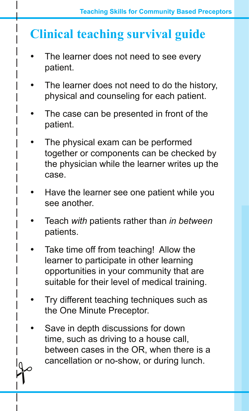# **Clinical teaching survival guide**

- The learner does not need to see every patient.
- The learner does not need to do the history, physical and counseling for each patient.
- The case can be presented in front of the patient.
- The physical exam can be performed together or components can be checked by the physician while the learner writes up the case.
- Have the learner see one patient while you see another.
- Teach *with* patients rather than *in between* patients.
- Take time off from teaching! Allow the learner to participate in other learning opportunities in your community that are suitable for their level of medical training.
- Try different teaching techniques such as the One Minute Preceptor.
- Save in depth discussions for down time, such as driving to a house call, between cases in the OR, when there is a  $\curvearrowleft$ cancellation or no-show, or during lunch.